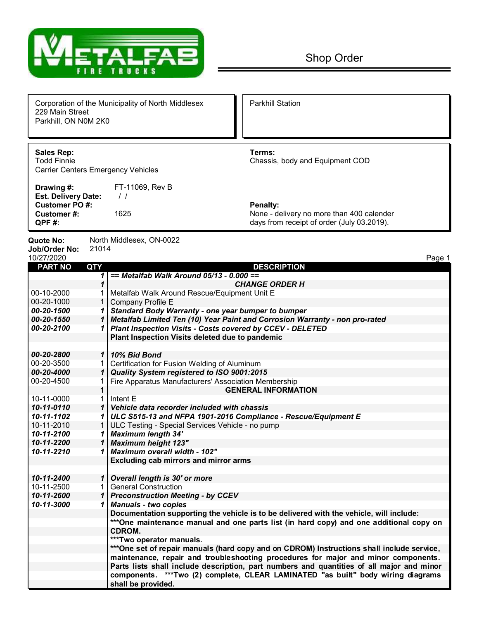

| 229 Main Street<br>Parkhill, ON N0M 2K0                                              |                | Corporation of the Municipality of North Middlesex                          | <b>Parkhill Station</b>                                                                                    |
|--------------------------------------------------------------------------------------|----------------|-----------------------------------------------------------------------------|------------------------------------------------------------------------------------------------------------|
| <b>Sales Rep:</b><br><b>Todd Finnie</b><br><b>Carrier Centers Emergency Vehicles</b> |                |                                                                             | Terms:<br>Chassis, body and Equipment COD                                                                  |
| Drawing #:                                                                           |                | FT-11069, Rev B                                                             |                                                                                                            |
| <b>Est. Delivery Date:</b><br><b>Customer PO#:</b>                                   |                | $\frac{1}{2}$                                                               |                                                                                                            |
| <b>Customer#:</b><br>QPF#:                                                           |                | 1625                                                                        | <b>Penalty:</b><br>None - delivery no more than 400 calender<br>days from receipt of order (July 03.2019). |
| Quote No:                                                                            |                | North Middlesex, ON-0022                                                    |                                                                                                            |
| Job/Order No:                                                                        | 21014          |                                                                             |                                                                                                            |
| 10/27/2020<br><b>PART NO</b>                                                         | <b>QTY</b>     |                                                                             | Page 1<br><b>DESCRIPTION</b>                                                                               |
|                                                                                      | 1              | $==$ Metalfab Walk Around 05/13 - 0.000 ==                                  |                                                                                                            |
|                                                                                      | 1              |                                                                             | <b>CHANGE ORDER H</b>                                                                                      |
| 00-10-2000                                                                           |                | Metalfab Walk Around Rescue/Equipment Unit E                                |                                                                                                            |
| 00-20-1000                                                                           | 1 <sup>1</sup> | Company Profile E                                                           |                                                                                                            |
| 00-20-1500                                                                           | 1              | Standard Body Warranty - one year bumper to bumper                          |                                                                                                            |
| 00-20-1550                                                                           | 1 <sup>1</sup> | Metalfab Limited Ten (10) Year Paint and Corrosion Warranty - non pro-rated |                                                                                                            |
| 00-20-2100                                                                           | 1 <sup>1</sup> | Plant Inspection Visits - Costs covered by CCEV - DELETED                   |                                                                                                            |
|                                                                                      |                | Plant Inspection Visits deleted due to pandemic                             |                                                                                                            |
| 00-20-2800                                                                           |                | 1 10% Bid Bond                                                              |                                                                                                            |
| 00-20-3500                                                                           |                | Certification for Fusion Welding of Aluminum                                |                                                                                                            |
| 00-20-4000                                                                           | $\mathbf{1}$   | Quality System registered to ISO 9001:2015                                  |                                                                                                            |
| 00-20-4500                                                                           | 1              | Fire Apparatus Manufacturers' Association Membership                        |                                                                                                            |
|                                                                                      | 1              |                                                                             | <b>GENERAL INFORMATION</b>                                                                                 |
| 10-11-0000                                                                           | 1.             | Intent E                                                                    |                                                                                                            |
| 10-11-0110                                                                           | $\mathbf{1}$   | Vehicle data recorder included with chassis                                 |                                                                                                            |
| 10-11-1102                                                                           | 1              | ULC S515-13 and NFPA 1901-2016 Compliance - Rescue/Equipment E              |                                                                                                            |
| 10-11-2010                                                                           |                | ULC Testing - Special Services Vehicle - no pump                            |                                                                                                            |
| 10-11-2100                                                                           |                | <b>Maximum length 34'</b>                                                   |                                                                                                            |
| 10-11-2200                                                                           | 1              | Maximum height 123"                                                         |                                                                                                            |
| 10-11-2210                                                                           |                | 1 Maximum overall width - 102"                                              |                                                                                                            |
|                                                                                      |                | Excluding cab mirrors and mirror arms                                       |                                                                                                            |
|                                                                                      |                |                                                                             |                                                                                                            |
| 10-11-2400                                                                           |                | 1 Overall length is 30' or more                                             |                                                                                                            |
| 10-11-2500                                                                           | 1.             | <b>General Construction</b>                                                 |                                                                                                            |
| 10-11-2600                                                                           |                | 1 Preconstruction Meeting - by CCEV                                         |                                                                                                            |
| 10-11-3000                                                                           |                | 1 Manuals - two copies                                                      |                                                                                                            |
|                                                                                      |                |                                                                             | Documentation supporting the vehicle is to be delivered with the vehicle, will include:                    |
|                                                                                      |                | CDROM.                                                                      | ***One maintenance manual and one parts list (in hard copy) and one additional copy on                     |
|                                                                                      |                | ***Two operator manuals.                                                    |                                                                                                            |
|                                                                                      |                |                                                                             | ***One set of repair manuals (hard copy and on CDROM) Instructions shall include service,                  |
|                                                                                      |                |                                                                             | maintenance, repair and troubleshooting procedures for major and minor components.                         |
|                                                                                      |                |                                                                             | Parts lists shall include description, part numbers and quantities of all major and minor                  |
|                                                                                      |                |                                                                             | components. ***Two (2) complete, CLEAR LAMINATED "as built" body wiring diagrams                           |
|                                                                                      |                | shall be provided.                                                          |                                                                                                            |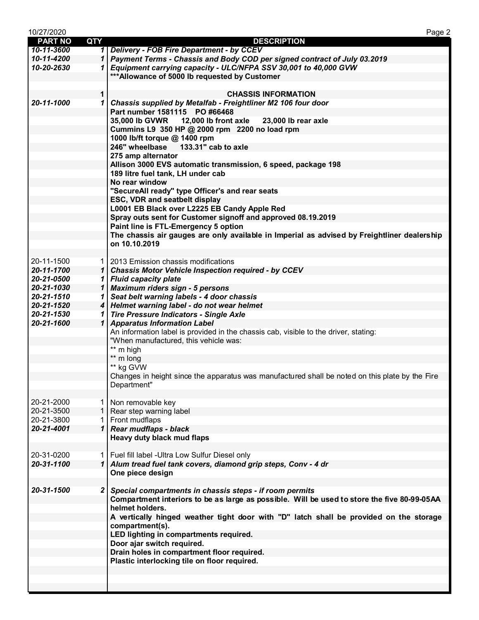| 10/27/2020     |             | Page 2                                                                                          |
|----------------|-------------|-------------------------------------------------------------------------------------------------|
| <b>PART NO</b> | <b>QTY</b>  | <b>DESCRIPTION</b>                                                                              |
| 10-11-3600     |             | 1 Delivery - FOB Fire Department - by CCEV                                                      |
| 10-11-4200     |             | 1 Payment Terms - Chassis and Body COD per signed contract of July 03.2019                      |
| 10-20-2630     |             | 1 Equipment carrying capacity - ULC/NFPA SSV 30,001 to 40,000 GVW                               |
|                |             | *** Allowance of 5000 lb requested by Customer                                                  |
|                |             |                                                                                                 |
|                |             |                                                                                                 |
|                | $\mathbf 1$ | <b>CHASSIS INFORMATION</b>                                                                      |
| 20-11-1000     |             | 1 Chassis supplied by Metalfab - Freightliner M2 106 four door                                  |
|                |             | Part number 1581115 PO #66468                                                                   |
|                |             | 35,000 lb GVWR 12,000 lb front axle<br>23,000 lb rear axle                                      |
|                |             | Cummins L9 350 HP @ 2000 rpm 2200 no load rpm                                                   |
|                |             | 1000 lb/ft torque @ 1400 rpm                                                                    |
|                |             | 246" wheelbase<br>133.31" cab to axle                                                           |
|                |             | 275 amp alternator                                                                              |
|                |             | Allison 3000 EVS automatic transmission, 6 speed, package 198                                   |
|                |             | 189 litre fuel tank, LH under cab                                                               |
|                |             |                                                                                                 |
|                |             | No rear window                                                                                  |
|                |             | "SecureAll ready" type Officer's and rear seats                                                 |
|                |             | ESC, VDR and seatbelt display                                                                   |
|                |             | L0001 EB Black over L2225 EB Candy Apple Red                                                    |
|                |             | Spray outs sent for Customer signoff and approved 08.19.2019                                    |
|                |             | Paint line is FTL-Emergency 5 option                                                            |
|                |             | The chassis air gauges are only available in Imperial as advised by Freightliner dealership     |
|                |             | on 10.10.2019                                                                                   |
|                |             |                                                                                                 |
| 20-11-1500     |             | 1   2013 Emission chassis modifications                                                         |
| 20-11-1700     |             | 1   Chassis Motor Vehicle Inspection required - by CCEV                                         |
| 20-21-0500     |             | 1 Fluid capacity plate                                                                          |
| 20-21-1030     |             | 1 Maximum riders sign - 5 persons                                                               |
| 20-21-1510     |             | 1 Seat belt warning labels - 4 door chassis                                                     |
| 20-21-1520     |             | 4 Helmet warning label - do not wear helmet                                                     |
|                |             |                                                                                                 |
| 20-21-1530     | 1           | <b>Tire Pressure Indicators - Single Axle</b>                                                   |
| 20-21-1600     |             | 1 Apparatus Information Label                                                                   |
|                |             | An information label is provided in the chassis cab, visible to the driver, stating:            |
|                |             | "When manufactured, this vehicle was:                                                           |
|                |             | ** m high                                                                                       |
|                |             | ** m long                                                                                       |
|                |             | ** kg GVW                                                                                       |
|                |             | Changes in height since the apparatus was manufactured shall be noted on this plate by the Fire |
|                |             | Department"                                                                                     |
|                |             |                                                                                                 |
| 20-21-2000     |             | 1 Non removable key                                                                             |
| 20-21-3500     |             | 1   Rear step warning label                                                                     |
| 20-21-3800     |             | 1 Front mudflaps                                                                                |
| 20-21-4001     |             | 1 Rear mudflaps - black                                                                         |
|                |             | Heavy duty black mud flaps                                                                      |
|                |             |                                                                                                 |
| 20-31-0200     |             | 1   Fuel fill label - Ultra Low Sulfur Diesel only                                              |
|                |             |                                                                                                 |
| 20-31-1100     |             | 1 Alum tread fuel tank covers, diamond grip steps, Conv - 4 dr                                  |
|                |             | One piece design                                                                                |
|                |             |                                                                                                 |
| 20-31-1500     |             | 2 Special compartments in chassis steps - if room permits                                       |
|                |             | Compartment interiors to be as large as possible. Will be used to store the five 80-99-05AA     |
|                |             | helmet holders.                                                                                 |
|                |             | A vertically hinged weather tight door with "D" latch shall be provided on the storage          |
|                |             | compartment(s).                                                                                 |
|                |             | LED lighting in compartments required.                                                          |
|                |             | Door ajar switch required.                                                                      |
|                |             | Drain holes in compartment floor required.                                                      |
|                |             | Plastic interlocking tile on floor required.                                                    |
|                |             |                                                                                                 |
|                |             |                                                                                                 |
|                |             |                                                                                                 |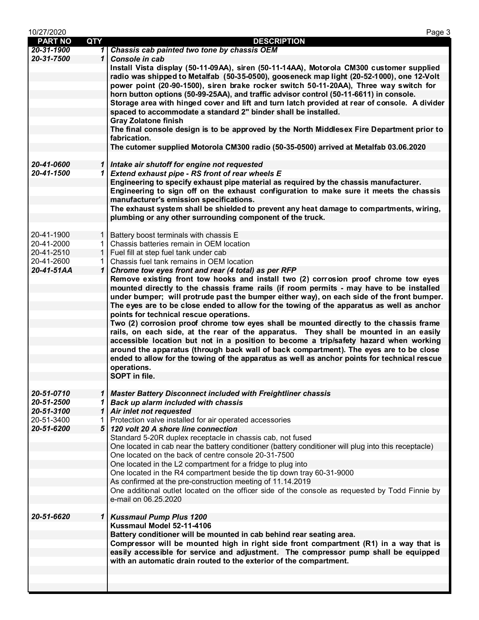| 10/27/2020     |              | Page 3                                                                                                                                                                                                                                                                                                                                                                                                                                                                                                                                                                                                                                                                                                                                                                                                                                                                                                                     |
|----------------|--------------|----------------------------------------------------------------------------------------------------------------------------------------------------------------------------------------------------------------------------------------------------------------------------------------------------------------------------------------------------------------------------------------------------------------------------------------------------------------------------------------------------------------------------------------------------------------------------------------------------------------------------------------------------------------------------------------------------------------------------------------------------------------------------------------------------------------------------------------------------------------------------------------------------------------------------|
| <b>PART NO</b> | <b>QTY</b>   | <b>DESCRIPTION</b>                                                                                                                                                                                                                                                                                                                                                                                                                                                                                                                                                                                                                                                                                                                                                                                                                                                                                                         |
| 20-31-1900     |              | 1 Chassis cab painted two tone by chassis OEM                                                                                                                                                                                                                                                                                                                                                                                                                                                                                                                                                                                                                                                                                                                                                                                                                                                                              |
| 20-31-7500     | $\mathbf{1}$ | Console in cab                                                                                                                                                                                                                                                                                                                                                                                                                                                                                                                                                                                                                                                                                                                                                                                                                                                                                                             |
|                |              | Install Vista display (50-11-09AA), siren (50-11-14AA), Motorola CM300 customer supplied<br>radio was shipped to Metalfab (50-35-0500), gooseneck map light (20-52-1000), one 12-Volt<br>power point (20-90-1500), siren brake rocker switch 50-11-20AA), Three way switch for<br>horn button options (50-99-25AA), and traffic advisor control (50-11-6611) in console.<br>Storage area with hinged cover and lift and turn latch provided at rear of console. A divider<br>spaced to accommodate a standard 2" binder shall be installed.<br><b>Gray Zolatone finish</b><br>The final console design is to be approved by the North Middlesex Fire Department prior to                                                                                                                                                                                                                                                   |
|                |              | fabrication.                                                                                                                                                                                                                                                                                                                                                                                                                                                                                                                                                                                                                                                                                                                                                                                                                                                                                                               |
|                |              | The cutomer supplied Motorola CM300 radio (50-35-0500) arrived at Metalfab 03.06.2020                                                                                                                                                                                                                                                                                                                                                                                                                                                                                                                                                                                                                                                                                                                                                                                                                                      |
|                |              |                                                                                                                                                                                                                                                                                                                                                                                                                                                                                                                                                                                                                                                                                                                                                                                                                                                                                                                            |
| 20-41-0600     |              | 1 Intake air shutoff for engine not requested                                                                                                                                                                                                                                                                                                                                                                                                                                                                                                                                                                                                                                                                                                                                                                                                                                                                              |
| 20-41-1500     |              | 1 Extend exhaust pipe - RS front of rear wheels E                                                                                                                                                                                                                                                                                                                                                                                                                                                                                                                                                                                                                                                                                                                                                                                                                                                                          |
|                |              | Engineering to specify exhaust pipe material as required by the chassis manufacturer.<br>Engineering to sign off on the exhaust configuration to make sure it meets the chassis<br>manufacturer's emission specifications.                                                                                                                                                                                                                                                                                                                                                                                                                                                                                                                                                                                                                                                                                                 |
|                |              | The exhaust system shall be shielded to prevent any heat damage to compartments, wiring,                                                                                                                                                                                                                                                                                                                                                                                                                                                                                                                                                                                                                                                                                                                                                                                                                                   |
|                |              | plumbing or any other surrounding component of the truck.                                                                                                                                                                                                                                                                                                                                                                                                                                                                                                                                                                                                                                                                                                                                                                                                                                                                  |
|                |              |                                                                                                                                                                                                                                                                                                                                                                                                                                                                                                                                                                                                                                                                                                                                                                                                                                                                                                                            |
| 20-41-1900     | $\mathbf{1}$ | Battery boost terminals with chassis E                                                                                                                                                                                                                                                                                                                                                                                                                                                                                                                                                                                                                                                                                                                                                                                                                                                                                     |
| 20-41-2000     | 1.           | Chassis batteries remain in OEM location                                                                                                                                                                                                                                                                                                                                                                                                                                                                                                                                                                                                                                                                                                                                                                                                                                                                                   |
| 20-41-2510     | $\mathbf{1}$ | Fuel fill at step fuel tank under cab                                                                                                                                                                                                                                                                                                                                                                                                                                                                                                                                                                                                                                                                                                                                                                                                                                                                                      |
| 20-41-2600     | 1            | Chassis fuel tank remains in OEM location                                                                                                                                                                                                                                                                                                                                                                                                                                                                                                                                                                                                                                                                                                                                                                                                                                                                                  |
| 20-41-51AA     | $\mathbf{1}$ | Chrome tow eyes front and rear (4 total) as per RFP                                                                                                                                                                                                                                                                                                                                                                                                                                                                                                                                                                                                                                                                                                                                                                                                                                                                        |
|                |              | Remove existing front tow hooks and install two (2) corrosion proof chrome tow eyes<br>mounted directly to the chassis frame rails (if room permits - may have to be installed<br>under bumper; will protrude past the bumper either way), on each side of the front bumper.<br>The eyes are to be close ended to allow for the towing of the apparatus as well as anchor<br>points for technical rescue operations.<br>Two (2) corrosion proof chrome tow eyes shall be mounted directly to the chassis frame<br>rails, on each side, at the rear of the apparatus. They shall be mounted in an easily<br>accessible location but not in a position to become a trip/safety hazard when working<br>around the apparatus (through back wall of back compartment). The eyes are to be close<br>ended to allow for the towing of the apparatus as well as anchor points for technical rescue<br>operations.<br>SOPT in file. |
|                |              |                                                                                                                                                                                                                                                                                                                                                                                                                                                                                                                                                                                                                                                                                                                                                                                                                                                                                                                            |
| 20-51-0710     | $\mathbf{1}$ | <b>Master Battery Disconnect included with Freightliner chassis</b>                                                                                                                                                                                                                                                                                                                                                                                                                                                                                                                                                                                                                                                                                                                                                                                                                                                        |
| 20-51-2500     | $\mathbf{1}$ | <b>Back up alarm included with chassis</b>                                                                                                                                                                                                                                                                                                                                                                                                                                                                                                                                                                                                                                                                                                                                                                                                                                                                                 |
| 20-51-3100     |              | 1 Air inlet not requested                                                                                                                                                                                                                                                                                                                                                                                                                                                                                                                                                                                                                                                                                                                                                                                                                                                                                                  |
| 20-51-3400     |              | Protection valve installed for air operated accessories                                                                                                                                                                                                                                                                                                                                                                                                                                                                                                                                                                                                                                                                                                                                                                                                                                                                    |
| 20-51-6200     |              | 5 120 volt 20 A shore line connection                                                                                                                                                                                                                                                                                                                                                                                                                                                                                                                                                                                                                                                                                                                                                                                                                                                                                      |
|                |              | Standard 5-20R duplex receptacle in chassis cab, not fused                                                                                                                                                                                                                                                                                                                                                                                                                                                                                                                                                                                                                                                                                                                                                                                                                                                                 |
|                |              | One located in cab near the battery conditioner (battery conditioner will plug into this receptacle)                                                                                                                                                                                                                                                                                                                                                                                                                                                                                                                                                                                                                                                                                                                                                                                                                       |
|                |              | One located on the back of centre console 20-31-7500                                                                                                                                                                                                                                                                                                                                                                                                                                                                                                                                                                                                                                                                                                                                                                                                                                                                       |
|                |              | One located in the L2 compartment for a fridge to plug into                                                                                                                                                                                                                                                                                                                                                                                                                                                                                                                                                                                                                                                                                                                                                                                                                                                                |
|                |              | One located in the R4 compartment beside the tip down tray 60-31-9000                                                                                                                                                                                                                                                                                                                                                                                                                                                                                                                                                                                                                                                                                                                                                                                                                                                      |
|                |              | As confirmed at the pre-construction meeting of 11.14.2019                                                                                                                                                                                                                                                                                                                                                                                                                                                                                                                                                                                                                                                                                                                                                                                                                                                                 |
|                |              | One additional outlet located on the officer side of the console as requested by Todd Finnie by                                                                                                                                                                                                                                                                                                                                                                                                                                                                                                                                                                                                                                                                                                                                                                                                                            |
|                |              | e-mail on 06.25.2020                                                                                                                                                                                                                                                                                                                                                                                                                                                                                                                                                                                                                                                                                                                                                                                                                                                                                                       |
|                |              |                                                                                                                                                                                                                                                                                                                                                                                                                                                                                                                                                                                                                                                                                                                                                                                                                                                                                                                            |
| 20-51-6620     | $\mathbf{1}$ | <b>Kussmaul Pump Plus 1200</b>                                                                                                                                                                                                                                                                                                                                                                                                                                                                                                                                                                                                                                                                                                                                                                                                                                                                                             |
|                |              | Kussmaul Model 52-11-4106                                                                                                                                                                                                                                                                                                                                                                                                                                                                                                                                                                                                                                                                                                                                                                                                                                                                                                  |
|                |              | Battery conditioner will be mounted in cab behind rear seating area.<br>Compressor will be mounted high in right side front compartment (R1) in a way that is<br>easily accessible for service and adjustment. The compressor pump shall be equipped<br>with an automatic drain routed to the exterior of the compartment.                                                                                                                                                                                                                                                                                                                                                                                                                                                                                                                                                                                                 |
|                |              |                                                                                                                                                                                                                                                                                                                                                                                                                                                                                                                                                                                                                                                                                                                                                                                                                                                                                                                            |
|                |              |                                                                                                                                                                                                                                                                                                                                                                                                                                                                                                                                                                                                                                                                                                                                                                                                                                                                                                                            |
|                |              |                                                                                                                                                                                                                                                                                                                                                                                                                                                                                                                                                                                                                                                                                                                                                                                                                                                                                                                            |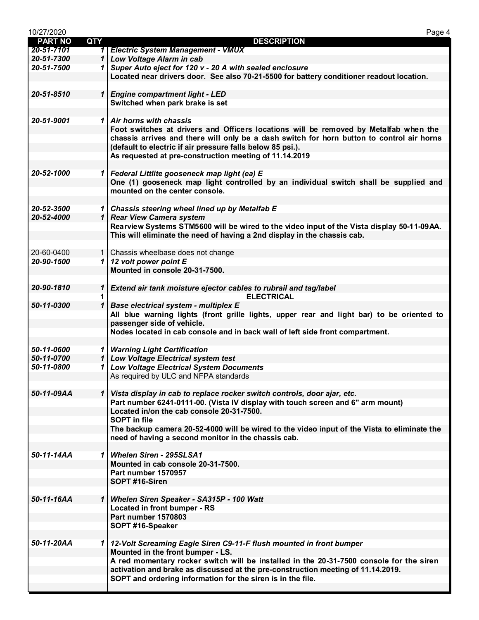| 10/27/2020     |              | Page 4                                                                                                                       |
|----------------|--------------|------------------------------------------------------------------------------------------------------------------------------|
| <b>PART NO</b> | <b>QTY</b>   | <b>DESCRIPTION</b>                                                                                                           |
| 20-51-7101     |              | 1 Electric System Management - VMUX                                                                                          |
| 20-51-7300     |              | 1 Low Voltage Alarm in cab                                                                                                   |
| 20-51-7500     |              | 1 Super Auto eject for 120 v - 20 A with sealed enclosure                                                                    |
|                |              | Located near drivers door. See also 70-21-5500 for battery conditioner readout location.                                     |
|                |              |                                                                                                                              |
| 20-51-8510     |              | 1 Engine compartment light - LED                                                                                             |
|                |              | Switched when park brake is set                                                                                              |
|                |              |                                                                                                                              |
| 20-51-9001     |              | 1 Air horns with chassis                                                                                                     |
|                |              | Foot switches at drivers and Officers locations will be removed by Metalfab when the                                         |
|                |              | chassis arrives and there will only be a dash switch for horn button to control air horns                                    |
|                |              | (default to electric if air pressure falls below 85 psi.).                                                                   |
|                |              | As requested at pre-construction meeting of 11.14.2019                                                                       |
|                |              |                                                                                                                              |
| 20-52-1000     |              | 1   Federal Littlite gooseneck map light (ea) E                                                                              |
|                |              | One (1) gooseneck map light controlled by an individual switch shall be supplied and                                         |
|                |              | mounted on the center console.                                                                                               |
|                |              |                                                                                                                              |
| 20-52-3500     |              | 1 Chassis steering wheel lined up by Metalfab E                                                                              |
| 20-52-4000     |              | 1 Rear View Camera system                                                                                                    |
|                |              | Rearview Systems STM5600 will be wired to the video input of the Vista display 50-11-09AA.                                   |
|                |              | This will eliminate the need of having a 2nd display in the chassis cab.                                                     |
|                |              |                                                                                                                              |
| 20-60-0400     |              | 1 Chassis wheelbase does not change                                                                                          |
| 20-90-1500     |              | 1 12 volt power point $E$                                                                                                    |
|                |              | Mounted in console 20-31-7500.                                                                                               |
|                |              |                                                                                                                              |
| 20-90-1810     | $\mathbf{1}$ | Extend air tank moisture ejector cables to rubrail and tag/label                                                             |
|                |              | <b>ELECTRICAL</b>                                                                                                            |
| 50-11-0300     | $\mathbf{1}$ | <b>Base electrical system - multiplex E</b>                                                                                  |
|                |              | All blue warning lights (front grille lights, upper rear and light bar) to be oriented to                                    |
|                |              | passenger side of vehicle.                                                                                                   |
|                |              | Nodes located in cab console and in back wall of left side front compartment.                                                |
|                |              |                                                                                                                              |
| 50-11-0600     |              | 1 Warning Light Certification                                                                                                |
| 50-11-0700     |              | 1 Low Voltage Electrical system test                                                                                         |
| 50-11-0800     |              | 1 Low Voltage Electrical System Documents                                                                                    |
|                |              | As required by ULC and NFPA standards                                                                                        |
|                |              |                                                                                                                              |
| 50-11-09AA     |              |                                                                                                                              |
|                |              | 1 Vista display in cab to replace rocker switch controls, door ajar, etc.                                                    |
|                |              | Part number 6241-0111-00. (Vista IV display with touch screen and 6" arm mount)<br>Located in/on the cab console 20-31-7500. |
|                |              | <b>SOPT</b> in file                                                                                                          |
|                |              |                                                                                                                              |
|                |              | The backup camera 20-52-4000 will be wired to the video input of the Vista to eliminate the                                  |
|                |              | need of having a second monitor in the chassis cab.                                                                          |
| 50-11-14AA     |              | 1 Whelen Siren - 295SLSA1                                                                                                    |
|                |              |                                                                                                                              |
|                |              | Mounted in cab console 20-31-7500.<br>Part number 1570957                                                                    |
|                |              |                                                                                                                              |
|                |              | SOPT #16-Siren                                                                                                               |
|                |              |                                                                                                                              |
| 50-11-16AA     |              | 1   Whelen Siren Speaker - SA315P - 100 Watt                                                                                 |
|                |              | Located in front bumper - RS                                                                                                 |
|                |              | Part number 1570803                                                                                                          |
|                |              | SOPT #16-Speaker                                                                                                             |
|                |              |                                                                                                                              |
| 50-11-20AA     |              | 1 12-Volt Screaming Eagle Siren C9-11-F flush mounted in front bumper                                                        |
|                |              | Mounted in the front bumper - LS.                                                                                            |
|                |              | A red momentary rocker switch will be installed in the 20-31-7500 console for the siren                                      |
|                |              | activation and brake as discussed at the pre-construction meeting of 11.14.2019.                                             |
|                |              | SOPT and ordering information for the siren is in the file.                                                                  |
|                |              |                                                                                                                              |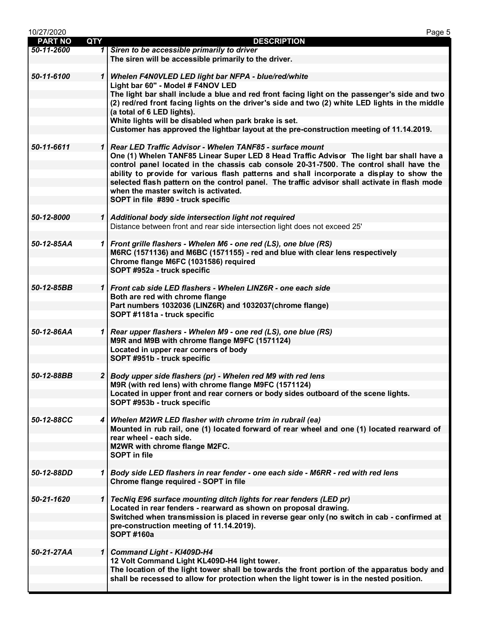| 10/27/2020     |              | Page 5                                                                                                                                                   |
|----------------|--------------|----------------------------------------------------------------------------------------------------------------------------------------------------------|
| <b>PART NO</b> | <b>QTY</b>   | <b>DESCRIPTION</b>                                                                                                                                       |
| 50-11-2600     |              | 1 Siren to be accessible primarily to driver                                                                                                             |
|                |              | The siren will be accessible primarily to the driver.                                                                                                    |
| 50-11-6100     |              | 1 Whelen F4N0VLED LED light bar NFPA - blue/red/white                                                                                                    |
|                |              | Light bar 60" - Model # F4NOV LED                                                                                                                        |
|                |              | The light bar shall include a blue and red front facing light on the passenger's side and two                                                            |
|                |              | (2) red/red front facing lights on the driver's side and two (2) white LED lights in the middle                                                          |
|                |              | (a total of 6 LED lights).                                                                                                                               |
|                |              | White lights will be disabled when park brake is set.                                                                                                    |
|                |              | Customer has approved the lightbar layout at the pre-construction meeting of 11.14.2019.                                                                 |
| 50-11-6611     |              | 1 Rear LED Traffic Advisor - Whelen TANF85 - surface mount                                                                                               |
|                |              | One (1) Whelen TANF85 Linear Super LED 8 Head Traffic Advisor The light bar shall have a                                                                 |
|                |              | control panel located in the chassis cab console 20-31-7500. The control shall have the                                                                  |
|                |              | ability to provide for various flash patterns and shall incorporate a display to show the                                                                |
|                |              | selected flash pattern on the control panel. The traffic advisor shall activate in flash mode                                                            |
|                |              | when the master switch is activated.                                                                                                                     |
|                |              | SOPT in file #890 - truck specific                                                                                                                       |
| 50-12-8000     |              |                                                                                                                                                          |
|                |              | 1 Additional body side intersection light not required<br>Distance between front and rear side intersection light does not exceed 25'                    |
|                |              |                                                                                                                                                          |
| 50-12-85AA     |              | 1 Front grille flashers - Whelen M6 - one red (LS), one blue (RS)                                                                                        |
|                |              | M6RC (1571136) and M6BC (1571155) - red and blue with clear lens respectively                                                                            |
|                |              | Chrome flange M6FC (1031586) required                                                                                                                    |
|                |              | SOPT #952a - truck specific                                                                                                                              |
|                |              |                                                                                                                                                          |
| 50-12-85BB     |              | 1 Front cab side LED flashers - Whelen LINZ6R - one each side<br>Both are red with chrome flange                                                         |
|                |              | Part numbers 1032036 (LINZ6R) and 1032037(chrome flange)                                                                                                 |
|                |              | SOPT #1181a - truck specific                                                                                                                             |
|                |              |                                                                                                                                                          |
| 50-12-86AA     |              | 1 Rear upper flashers - Whelen M9 - one red (LS), one blue (RS)                                                                                          |
|                |              | M9R and M9B with chrome flange M9FC (1571124)                                                                                                            |
|                |              | Located in upper rear corners of body<br>SOPT #951b - truck specific                                                                                     |
|                |              |                                                                                                                                                          |
| 50-12-88BB     |              | 2 Body upper side flashers (pr) - Whelen red M9 with red lens                                                                                            |
|                |              | M9R (with red lens) with chrome flange M9FC (1571124)                                                                                                    |
|                |              | Located in upper front and rear corners or body sides outboard of the scene lights.                                                                      |
|                |              | SOPT #953b - truck specific                                                                                                                              |
|                |              |                                                                                                                                                          |
| 50-12-88CC     |              | 4 Whelen M2WR LED flasher with chrome trim in rubrail (ea)<br>Mounted in rub rail, one (1) located forward of rear wheel and one (1) located rearward of |
|                |              | rear wheel - each side.                                                                                                                                  |
|                |              | M2WR with chrome flange M2FC.                                                                                                                            |
|                |              | <b>SOPT</b> in file                                                                                                                                      |
|                |              |                                                                                                                                                          |
| 50-12-88DD     |              | 1 Body side LED flashers in rear fender - one each side - M6RR - red with red lens                                                                       |
|                |              | Chrome flange required - SOPT in file                                                                                                                    |
| 50-21-1620     | $\mathbf{1}$ | TecNiq E96 surface mounting ditch lights for rear fenders (LED pr)                                                                                       |
|                |              | Located in rear fenders - rearward as shown on proposal drawing.                                                                                         |
|                |              | Switched when transmission is placed in reverse gear only (no switch in cab - confirmed at                                                               |
|                |              | pre-construction meeting of 11.14.2019).                                                                                                                 |
|                |              | <b>SOPT #160a</b>                                                                                                                                        |
|                |              |                                                                                                                                                          |
| 50-21-27AA     | $\mathbf{1}$ | <b>Command Light - KI409D-H4</b><br>12 Volt Command Light KL409D-H4 light tower.                                                                         |
|                |              | The location of the light tower shall be towards the front portion of the apparatus body and                                                             |
|                |              | shall be recessed to allow for protection when the light tower is in the nested position.                                                                |
|                |              |                                                                                                                                                          |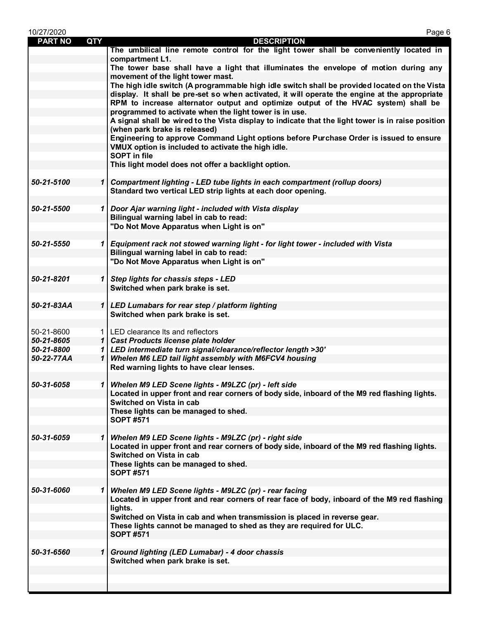| 10/27/2020     |            | Page 6                                                                                                                              |
|----------------|------------|-------------------------------------------------------------------------------------------------------------------------------------|
| <b>PART NO</b> | <b>QTY</b> | <b>DESCRIPTION</b>                                                                                                                  |
|                |            | The umbilical line remote control for the light tower shall be conveniently located in                                              |
|                |            | compartment L1.                                                                                                                     |
|                |            | The tower base shall have a light that illuminates the envelope of motion during any                                                |
|                |            | movement of the light tower mast.                                                                                                   |
|                |            | The high idle switch (A programmable high idle switch shall be provided located on the Vista                                        |
|                |            | display. It shall be pre-set so when activated, it will operate the engine at the appropriate                                       |
|                |            | RPM to increase alternator output and optimize output of the HVAC system) shall be                                                  |
|                |            | programmed to activate when the light tower is in use.                                                                              |
|                |            | A signal shall be wired to the Vista display to indicate that the light tower is in raise position<br>(when park brake is released) |
|                |            | Engineering to approve Command Light options before Purchase Order is issued to ensure                                              |
|                |            | VMUX option is included to activate the high idle.                                                                                  |
|                |            | <b>SOPT in file</b>                                                                                                                 |
|                |            | This light model does not offer a backlight option.                                                                                 |
|                |            |                                                                                                                                     |
| 50-21-5100     |            | 1 Compartment lighting - LED tube lights in each compartment (rollup doors)                                                         |
|                |            | Standard two vertical LED strip lights at each door opening.                                                                        |
|                |            |                                                                                                                                     |
| 50-21-5500     |            | 1 Door Ajar warning light - included with Vista display                                                                             |
|                |            | Bilingual warning label in cab to read:                                                                                             |
|                |            | "Do Not Move Apparatus when Light is on"                                                                                            |
|                |            |                                                                                                                                     |
| 50-21-5550     |            | 1 Equipment rack not stowed warning light - for light tower - included with Vista                                                   |
|                |            | Bilingual warning label in cab to read:                                                                                             |
|                |            | "Do Not Move Apparatus when Light is on"                                                                                            |
| 50-21-8201     |            | 1 Step lights for chassis steps - LED                                                                                               |
|                |            | Switched when park brake is set.                                                                                                    |
|                |            |                                                                                                                                     |
| 50-21-83AA     |            | 1   LED Lumabars for rear step / platform lighting                                                                                  |
|                |            | Switched when park brake is set.                                                                                                    |
|                |            |                                                                                                                                     |
| 50-21-8600     |            | 1   LED clearance Its and reflectors                                                                                                |
| 50-21-8605     |            | 1 Cast Products license plate holder                                                                                                |
| 50-21-8800     |            | 1 LED intermediate turn signal/clearance/reflector length >30'                                                                      |
| 50-22-77AA     |            | 1 Whelen M6 LED tail light assembly with M6FCV4 housing                                                                             |
|                |            | Red warning lights to have clear lenses.                                                                                            |
|                |            |                                                                                                                                     |
| 50-31-6058     |            | 1 Whelen M9 LED Scene lights - M9LZC (pr) - left side                                                                               |
|                |            | Located in upper front and rear corners of body side, inboard of the M9 red flashing lights.                                        |
|                |            | Switched on Vista in cab                                                                                                            |
|                |            | These lights can be managed to shed.<br><b>SOPT #571</b>                                                                            |
|                |            |                                                                                                                                     |
| 50-31-6059     |            | 1   Whelen M9 LED Scene lights - M9LZC (pr) - right side                                                                            |
|                |            | Located in upper front and rear corners of body side, inboard of the M9 red flashing lights.                                        |
|                |            | Switched on Vista in cab                                                                                                            |
|                |            | These lights can be managed to shed.                                                                                                |
|                |            | <b>SOPT #571</b>                                                                                                                    |
|                |            |                                                                                                                                     |
| 50-31-6060     |            | 1   Whelen M9 LED Scene lights - M9LZC (pr) - rear facing                                                                           |
|                |            | Located in upper front and rear corners of rear face of body, inboard of the M9 red flashing                                        |
|                |            | lights.                                                                                                                             |
|                |            | Switched on Vista in cab and when transmission is placed in reverse gear.                                                           |
|                |            | These lights cannot be managed to shed as they are required for ULC.                                                                |
|                |            | <b>SOPT #571</b>                                                                                                                    |
|                |            |                                                                                                                                     |
| 50-31-6560     |            | 1 Ground lighting (LED Lumabar) - 4 door chassis<br>Switched when park brake is set.                                                |
|                |            |                                                                                                                                     |
|                |            |                                                                                                                                     |
|                |            |                                                                                                                                     |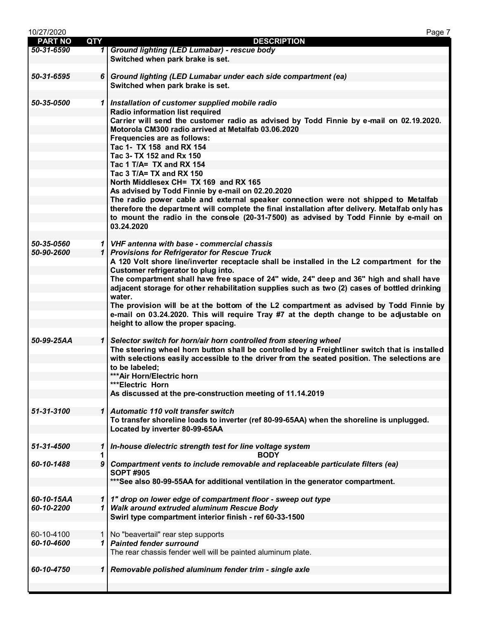| 10/27/2020     |                  | Page 7                                                                                          |
|----------------|------------------|-------------------------------------------------------------------------------------------------|
| <b>PART NO</b> | <b>QTY</b>       | <b>DESCRIPTION</b>                                                                              |
| 50-31-6590     |                  | 1 Ground lighting (LED Lumabar) - rescue body                                                   |
|                |                  | Switched when park brake is set.                                                                |
|                |                  |                                                                                                 |
| 50-31-6595     |                  | 6 Ground lighting (LED Lumabar under each side compartment (ea)                                 |
|                |                  | Switched when park brake is set.                                                                |
|                |                  |                                                                                                 |
| 50-35-0500     |                  | 1 Installation of customer supplied mobile radio                                                |
|                |                  | Radio information list required                                                                 |
|                |                  | Carrier will send the customer radio as advised by Todd Finnie by e-mail on 02.19.2020.         |
|                |                  | Motorola CM300 radio arrived at Metalfab 03.06.2020                                             |
|                |                  | Frequencies are as follows:                                                                     |
|                |                  | Tac 1- TX 158 and RX 154                                                                        |
|                |                  | Tac 3- TX 152 and Rx 150                                                                        |
|                |                  | Tac 1 T/A= TX and RX 154                                                                        |
|                |                  | Tac 3 T/A= TX and RX 150                                                                        |
|                |                  | North Middlesex CH= TX 169 and RX 165                                                           |
|                |                  | As advised by Todd Finnie by e-mail on 02.20.2020                                               |
|                |                  | The radio power cable and external speaker connection were not shipped to Metalfab              |
|                |                  | therefore the department will complete the final installation after delivery. Metalfab only has |
|                |                  | to mount the radio in the console (20-31-7500) as advised by Todd Finnie by e-mail on           |
|                |                  |                                                                                                 |
|                |                  | 03.24.2020                                                                                      |
|                |                  |                                                                                                 |
| 50-35-0560     |                  | 1 VHF antenna with base - commercial chassis                                                    |
| 50-90-2600     |                  | 1 Provisions for Refrigerator for Rescue Truck                                                  |
|                |                  | A 120 Volt shore line/inverter receptacle shall be installed in the L2 compartment for the      |
|                |                  | Customer refrigerator to plug into.                                                             |
|                |                  | The compartment shall have free space of 24" wide, 24" deep and 36" high and shall have         |
|                |                  | adjacent storage for other rehabilitation supplies such as two (2) cases of bottled drinking    |
|                |                  | water.                                                                                          |
|                |                  | The provision will be at the bottom of the L2 compartment as advised by Todd Finnie by          |
|                |                  | e-mail on 03.24.2020. This will require Tray #7 at the depth change to be adjustable on         |
|                |                  | height to allow the proper spacing.                                                             |
|                |                  |                                                                                                 |
| 50-99-25AA     |                  | 1   Selector switch for horn/air horn controlled from steering wheel                            |
|                |                  | The steering wheel horn button shall be controlled by a Freightliner switch that is installed   |
|                |                  | with selections easily accessible to the driver from the seated position. The selections are    |
|                |                  | to be labeled;                                                                                  |
|                |                  | *** Air Horn/Electric horn                                                                      |
|                |                  | ***Electric Horn                                                                                |
|                |                  | As discussed at the pre-construction meeting of 11.14.2019                                      |
|                |                  |                                                                                                 |
| 51-31-3100     | $\mathbf{1}$     | Automatic 110 volt transfer switch                                                              |
|                |                  | To transfer shoreline loads to inverter (ref 80-99-65AA) when the shoreline is unplugged.       |
|                |                  | Located by inverter 80-99-65AA                                                                  |
|                |                  |                                                                                                 |
| 51-31-4500     | 1                | In-house dielectric strength test for line voltage system                                       |
|                | 1                | <b>BODY</b>                                                                                     |
| 60-10-1488     | $\boldsymbol{9}$ | Compartment vents to include removable and replaceable particulate filters (ea)                 |
|                |                  | <b>SOPT #905</b>                                                                                |
|                |                  | ***See also 80-99-55AA for additional ventilation in the generator compartment.                 |
|                |                  |                                                                                                 |
| 60-10-15AA     |                  | 1   1" drop on lower edge of compartment floor - sweep out type                                 |
| 60-10-2200     |                  | 1 Walk around extruded aluminum Rescue Body                                                     |
|                |                  | Swirl type compartment interior finish - ref 60-33-1500                                         |
|                |                  |                                                                                                 |
| 60-10-4100     | 1 <sup>1</sup>   | No "beavertail" rear step supports                                                              |
| 60-10-4600     |                  | 1 Painted fender surround                                                                       |
|                |                  | The rear chassis fender well will be painted aluminum plate.                                    |
|                |                  |                                                                                                 |
| 60-10-4750     | $\mathbf{1}$     | Removable polished aluminum fender trim - single axle                                           |
|                |                  |                                                                                                 |
|                |                  |                                                                                                 |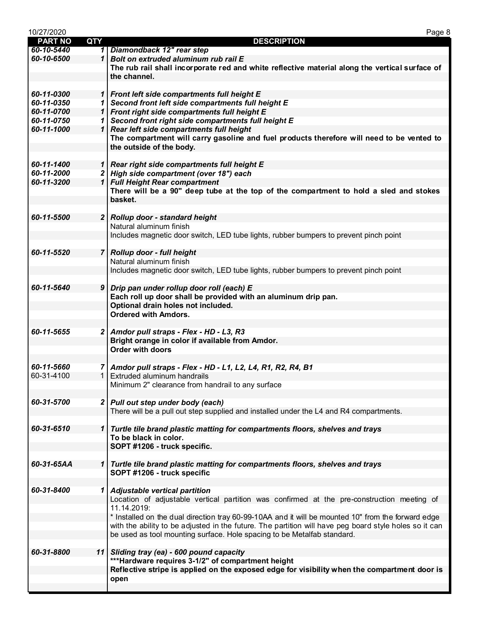| 10/27/2020     |              | Page 8                                                                                                 |
|----------------|--------------|--------------------------------------------------------------------------------------------------------|
| <b>PART NO</b> | <b>QTY</b>   | <b>DESCRIPTION</b>                                                                                     |
| 60-10-5440     |              | 1 Diamondback 12" rear step                                                                            |
| 60-10-6500     |              | 1 Bolt on extruded aluminum rub rail E                                                                 |
|                |              | The rub rail shall incorporate red and white reflective material along the vertical surface of         |
|                |              | the channel.                                                                                           |
|                |              |                                                                                                        |
| 60-11-0300     |              | 1 Front left side compartments full height E                                                           |
| 60-11-0350     |              | 1 Second front left side compartments full height E                                                    |
| 60-11-0700     |              | 1 Front right side compartments full height E                                                          |
| 60-11-0750     |              | 1 Second front right side compartments full height E                                                   |
| 60-11-1000     | $\mathbf{1}$ | Rear left side compartments full height                                                                |
|                |              | The compartment will carry gasoline and fuel products therefore will need to be vented to              |
|                |              | the outside of the body.                                                                               |
|                |              |                                                                                                        |
| 60-11-1400     |              | 1 Rear right side compartments full height E                                                           |
| 60-11-2000     |              | 2 High side compartment (over 18") each                                                                |
| 60-11-3200     |              | 1 Full Height Rear compartment                                                                         |
|                |              | There will be a 90" deep tube at the top of the compartment to hold a sled and stokes                  |
|                |              | basket.                                                                                                |
| 60-11-5500     |              | 2 Rollup door - standard height                                                                        |
|                |              | Natural aluminum finish                                                                                |
|                |              | Includes magnetic door switch, LED tube lights, rubber bumpers to prevent pinch point                  |
|                |              |                                                                                                        |
| 60-11-5520     |              | 7 Rollup door - full height                                                                            |
|                |              | Natural aluminum finish                                                                                |
|                |              | Includes magnetic door switch, LED tube lights, rubber bumpers to prevent pinch point                  |
|                |              |                                                                                                        |
| 60-11-5640     |              | 9 Drip pan under rollup door roll (each) E                                                             |
|                |              | Each roll up door shall be provided with an aluminum drip pan.                                         |
|                |              | Optional drain holes not included.                                                                     |
|                |              | <b>Ordered with Amdors.</b>                                                                            |
|                |              |                                                                                                        |
| 60-11-5655     |              | 2 Amdor pull straps - Flex - HD - L3, R3                                                               |
|                |              | Bright orange in color if available from Amdor.                                                        |
|                |              | <b>Order with doors</b>                                                                                |
|                |              |                                                                                                        |
| 60-11-5660     |              | 7   Amdor pull straps - Flex - HD - L1, L2, L4, R1, R2, R4, B1                                         |
| 60-31-4100     |              | 1 Extruded aluminum handrails                                                                          |
|                |              | Minimum 2" clearance from handrail to any surface                                                      |
|                |              |                                                                                                        |
| 60-31-5700     |              | 2 Pull out step under body (each)                                                                      |
|                |              | There will be a pull out step supplied and installed under the L4 and R4 compartments.                 |
|                |              |                                                                                                        |
| 60-31-6510     |              | 1 Turtle tile brand plastic matting for compartments floors, shelves and trays                         |
|                |              | To be black in color.                                                                                  |
|                |              | SOPT #1206 - truck specific.                                                                           |
| 60-31-65AA     | $\mathbf{1}$ | Turtle tile brand plastic matting for compartments floors, shelves and trays                           |
|                |              | SOPT #1206 - truck specific                                                                            |
|                |              |                                                                                                        |
| 60-31-8400     |              | 1 Adjustable vertical partition                                                                        |
|                |              | Location of adjustable vertical partition was confirmed at the pre-construction meeting of             |
|                |              | 11.14.2019:                                                                                            |
|                |              | * Installed on the dual direction tray 60-99-10AA and it will be mounted 10" from the forward edge     |
|                |              | with the ability to be adjusted in the future. The partition will have peg board style holes so it can |
|                |              | be used as tool mounting surface. Hole spacing to be Metalfab standard.                                |
|                |              |                                                                                                        |
| 60-31-8800     |              | 11 Sliding tray (ea) - 600 pound capacity                                                              |
|                |              | ***Hardware requires 3-1/2" of compartment height                                                      |
|                |              | Reflective stripe is applied on the exposed edge for visibility when the compartment door is           |
|                |              | open                                                                                                   |
|                |              |                                                                                                        |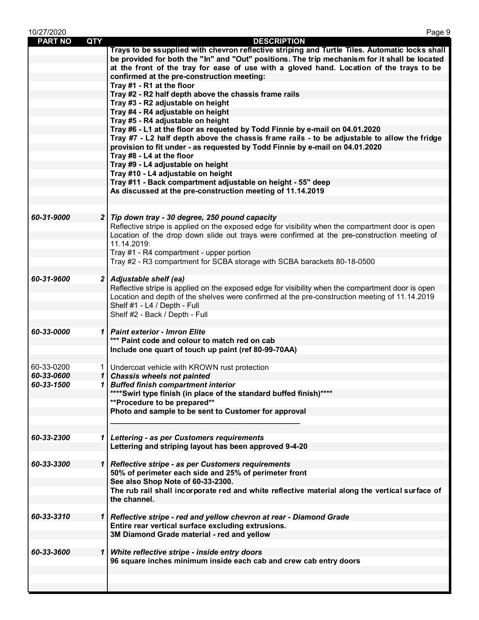| 10/27/2020     |     | Page 9                                                                                                                                                                                    |
|----------------|-----|-------------------------------------------------------------------------------------------------------------------------------------------------------------------------------------------|
| <b>PART NO</b> | QTY | <b>DESCRIPTION</b>                                                                                                                                                                        |
|                |     | Trays to be ssupplied with chevron reflective striping and Turtle Tiles. Automatic locks shall                                                                                            |
|                |     | be provided for both the "In" and "Out" positions. The trip mechanism for it shall be located<br>at the front of the tray for ease of use with a gloved hand. Location of the trays to be |
|                |     | confirmed at the pre-construction meeting:                                                                                                                                                |
|                |     | Tray #1 - R1 at the floor                                                                                                                                                                 |
|                |     | Tray #2 - R2 half depth above the chassis frame rails                                                                                                                                     |
|                |     | Tray #3 - R2 adjustable on height                                                                                                                                                         |
|                |     | Tray #4 - R4 adjustable on height                                                                                                                                                         |
|                |     | Tray #5 - R4 adjustable on height                                                                                                                                                         |
|                |     | Tray #6 - L1 at the floor as requeted by Todd Finnie by e-mail on 04.01.2020                                                                                                              |
|                |     | Tray #7 - L2 half depth above the chassis frame rails - to be adjustable to allow the fridge                                                                                              |
|                |     | provision to fit under - as requested by Todd Finnie by e-mail on 04.01.2020                                                                                                              |
|                |     | Tray #8 - L4 at the floor                                                                                                                                                                 |
|                |     | Tray #9 - L4 adjustable on height                                                                                                                                                         |
|                |     | Tray #10 - L4 adjustable on height                                                                                                                                                        |
|                |     | Tray #11 - Back compartment adjustable on height - 55" deep                                                                                                                               |
|                |     | As discussed at the pre-construction meeting of 11.14.2019                                                                                                                                |
|                |     |                                                                                                                                                                                           |
| 60-31-9000     |     | 2 Tip down tray - 30 degree, 250 pound capacity                                                                                                                                           |
|                |     | Reflective stripe is applied on the exposed edge for visibility when the compartment door is open                                                                                         |
|                |     | Location of the drop down slide out trays were confirmed at the pre-construction meeting of                                                                                               |
|                |     | 11.14.2019:                                                                                                                                                                               |
|                |     | Tray #1 - R4 compartment - upper portion                                                                                                                                                  |
|                |     | Tray #2 - R3 compartment for SCBA storage with SCBA barackets 80-18-0500                                                                                                                  |
|                |     |                                                                                                                                                                                           |
| 60-31-9600     |     | 2 Adjustable shelf (ea)                                                                                                                                                                   |
|                |     | Reflective stripe is applied on the exposed edge for visibility when the compartment door is open                                                                                         |
|                |     | Location and depth of the shelves were confirmed at the pre-construction meeting of 11.14.2019                                                                                            |
|                |     | Shelf #1 - L4 / Depth - Full                                                                                                                                                              |
|                |     | Shelf #2 - Back / Depth - Full                                                                                                                                                            |
|                |     |                                                                                                                                                                                           |
| 60-33-0000     |     | 1   Paint exterior - Imron Elite<br>*** Paint code and colour to match red on cab                                                                                                         |
|                |     | Include one quart of touch up paint (ref 80-99-70AA)                                                                                                                                      |
|                |     |                                                                                                                                                                                           |
| 60-33-0200     |     | 1   Undercoat vehicle with KROWN rust protection                                                                                                                                          |
| 60-33-0600     |     | 1 Chassis wheels not painted                                                                                                                                                              |
| 60-33-1500     | 1   | <b>Buffed finish compartment interior</b>                                                                                                                                                 |
|                |     | **** Swirl type finish (in place of the standard buffed finish)****                                                                                                                       |
|                |     | **Procedure to be prepared**                                                                                                                                                              |
|                |     | Photo and sample to be sent to Customer for approval                                                                                                                                      |
|                |     |                                                                                                                                                                                           |
|                |     |                                                                                                                                                                                           |
| 60-33-2300     |     | 1 Lettering - as per Customers requirements                                                                                                                                               |
|                |     | Lettering and striping layout has been approved 9-4-20                                                                                                                                    |
|                |     |                                                                                                                                                                                           |
| 60-33-3300     |     | Reflective stripe - as per Customers requirements                                                                                                                                         |
|                |     | 50% of perimeter each side and 25% of perimeter front                                                                                                                                     |
|                |     | See also Shop Note of 60-33-2300.                                                                                                                                                         |
|                |     | The rub rail shall incorporate red and white reflective material along the vertical surface of<br>the channel.                                                                            |
|                |     |                                                                                                                                                                                           |
| 60-33-3310     |     | Reflective stripe - red and yellow chevron at rear - Diamond Grade                                                                                                                        |
|                |     | Entire rear vertical surface excluding extrusions.                                                                                                                                        |
|                |     | 3M Diamond Grade material - red and yellow                                                                                                                                                |
|                |     |                                                                                                                                                                                           |
| 60-33-3600     | 1   | White reflective stripe - inside entry doors                                                                                                                                              |
|                |     | 96 square inches minimum inside each cab and crew cab entry doors                                                                                                                         |
|                |     |                                                                                                                                                                                           |
|                |     |                                                                                                                                                                                           |
|                |     |                                                                                                                                                                                           |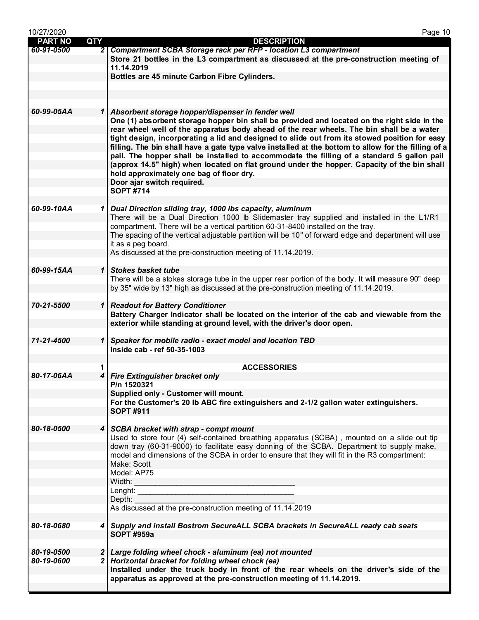| 10/27/2020     |              | Page 10                                                                                              |
|----------------|--------------|------------------------------------------------------------------------------------------------------|
| <b>PART NO</b> | QTY          | <b>DESCRIPTION</b>                                                                                   |
| 60-91-0500     |              | 2 Compartment SCBA Storage rack per RFP - location L3 compartment                                    |
|                |              | Store 21 bottles in the L3 compartment as discussed at the pre-construction meeting of               |
|                |              | 11.14.2019                                                                                           |
|                |              | Bottles are 45 minute Carbon Fibre Cylinders.                                                        |
|                |              |                                                                                                      |
|                |              |                                                                                                      |
|                |              |                                                                                                      |
| 60-99-05AA     |              | 1 Absorbent storage hopper/dispenser in fender well                                                  |
|                |              | One (1) absorbent storage hopper bin shall be provided and located on the right side in the          |
|                |              | rear wheel well of the apparatus body ahead of the rear wheels. The bin shall be a water             |
|                |              | tight design, incorporating a lid and designed to slide out from its stowed position for easy        |
|                |              | filling. The bin shall have a gate type valve installed at the bottom to allow for the filling of a  |
|                |              | pail. The hopper shall be installed to accommodate the filling of a standard 5 gallon pail           |
|                |              | (approx 14.5" high) when located on flat ground under the hopper. Capacity of the bin shall          |
|                |              |                                                                                                      |
|                |              | hold approximately one bag of floor dry.                                                             |
|                |              | Door ajar switch required.                                                                           |
|                |              | <b>SOPT #714</b>                                                                                     |
|                |              |                                                                                                      |
| 60-99-10AA     |              | 1 Dual Direction sliding tray, 1000 lbs capacity, aluminum                                           |
|                |              | There will be a Dual Direction 1000 lb Slidemaster tray supplied and installed in the L1/R1          |
|                |              | compartment. There will be a vertical partition 60-31-8400 installed on the tray.                    |
|                |              | The spacing of the vertical adjustable partition will be 10" of forward edge and department will use |
|                |              | it as a peg board.                                                                                   |
|                |              | As discussed at the pre-construction meeting of 11.14.2019.                                          |
|                |              |                                                                                                      |
| 60-99-15AA     | $\mathbf{1}$ | <b>Stokes basket tube</b>                                                                            |
|                |              | There will be a stokes storage tube in the upper rear portion of the body. It will measure 90" deep  |
|                |              | by 35" wide by 13" high as discussed at the pre-construction meeting of 11.14.2019.                  |
|                |              |                                                                                                      |
| 70-21-5500     | $\mathbf{1}$ | <b>Readout for Battery Conditioner</b>                                                               |
|                |              | Battery Charger Indicator shall be located on the interior of the cab and viewable from the          |
|                |              | exterior while standing at ground level, with the driver's door open.                                |
|                |              |                                                                                                      |
| 71-21-4500     |              | 1 Speaker for mobile radio - exact model and location TBD                                            |
|                |              | Inside cab - ref 50-35-1003                                                                          |
|                |              |                                                                                                      |
|                | 1            | <b>ACCESSORIES</b>                                                                                   |
| 80-17-06AA     |              | 4 Fire Extinguisher bracket only                                                                     |
|                |              | P/n 1520321                                                                                          |
|                |              | Supplied only - Customer will mount.                                                                 |
|                |              | For the Customer's 20 lb ABC fire extinguishers and 2-1/2 gallon water extinguishers.                |
|                |              | <b>SOPT #911</b>                                                                                     |
|                |              |                                                                                                      |
| 80-18-0500     |              | 4 SCBA bracket with strap - compt mount                                                              |
|                |              | Used to store four (4) self-contained breathing apparatus (SCBA), mounted on a slide out tip         |
|                |              | down tray (60-31-9000) to facilitate easy donning of the SCBA. Department to supply make,            |
|                |              | model and dimensions of the SCBA in order to ensure that they will fit in the R3 compartment:        |
|                |              | Make: Scott                                                                                          |
|                |              | Model: AP75                                                                                          |
|                |              | Width:                                                                                               |
|                |              | Lenght: $\overline{\phantom{a}}$                                                                     |
|                |              | Depth:                                                                                               |
|                |              | As discussed at the pre-construction meeting of 11.14.2019                                           |
|                |              |                                                                                                      |
| 80-18-0680     |              | 4 Supply and install Bostrom SecureALL SCBA brackets in SecureALL ready cab seats                    |
|                |              | <b>SOPT #959a</b>                                                                                    |
|                |              |                                                                                                      |
| 80-19-0500     |              | 2 Large folding wheel chock - aluminum (ea) not mounted                                              |
| 80-19-0600     |              | 2 Horizontal bracket for folding wheel chock (ea)                                                    |
|                |              | Installed under the truck body in front of the rear wheels on the driver's side of the               |
|                |              | apparatus as approved at the pre-construction meeting of 11.14.2019.                                 |
|                |              |                                                                                                      |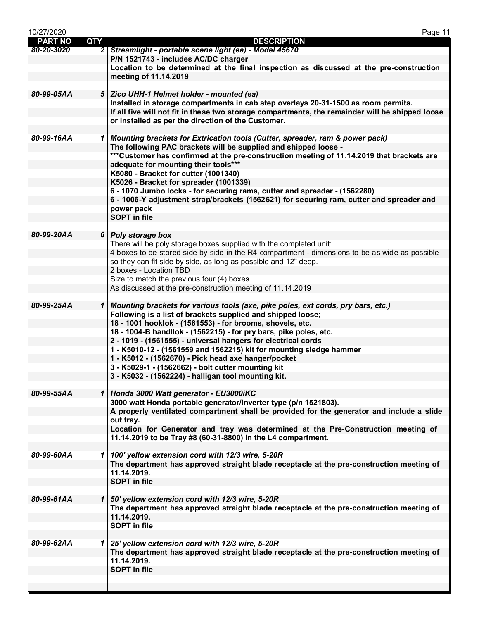| 10/27/2020     |     | Page 11                                                                                                                                             |
|----------------|-----|-----------------------------------------------------------------------------------------------------------------------------------------------------|
| <b>PART NO</b> | QTY | <b>DESCRIPTION</b>                                                                                                                                  |
| 80-20-3020     |     | 2 Streamlight - portable scene light (ea) - Model 45670                                                                                             |
|                |     | P/N 1521743 - includes AC/DC charger<br>Location to be determined at the final inspection as discussed at the pre-construction                      |
|                |     | meeting of 11.14.2019                                                                                                                               |
|                |     |                                                                                                                                                     |
| 80-99-05AA     |     | 5   Zico UHH-1 Helmet holder - mounted (ea)                                                                                                         |
|                |     | Installed in storage compartments in cab step overlays 20-31-1500 as room permits.                                                                  |
|                |     | If all five will not fit in these two storage compartments, the remainder will be shipped loose                                                     |
|                |     | or installed as per the direction of the Customer.                                                                                                  |
|                |     |                                                                                                                                                     |
| 80-99-16AA     |     | 1   Mounting brackets for Extrication tools (Cutter, spreader, ram & power pack)<br>The following PAC brackets will be supplied and shipped loose - |
|                |     | ***Customer has confirmed at the pre-construction meeting of 11.14.2019 that brackets are                                                           |
|                |     | adequate for mounting their tools***                                                                                                                |
|                |     | K5080 - Bracket for cutter (1001340)                                                                                                                |
|                |     | K5026 - Bracket for spreader (1001339)                                                                                                              |
|                |     | 6 - 1070 Jumbo locks - for securing rams, cutter and spreader - (1562280)                                                                           |
|                |     | 6 - 1006-Y adjustment strap/brackets (1562621) for securing ram, cutter and spreader and                                                            |
|                |     | power pack<br><b>SOPT</b> in file                                                                                                                   |
|                |     |                                                                                                                                                     |
| 80-99-20AA     |     | 6 Poly storage box                                                                                                                                  |
|                |     | There will be poly storage boxes supplied with the completed unit:                                                                                  |
|                |     | 4 boxes to be stored side by side in the R4 compartment - dimensions to be as wide as possible                                                      |
|                |     | so they can fit side by side, as long as possible and 12" deep.                                                                                     |
|                |     | 2 boxes - Location TBD                                                                                                                              |
|                |     | Size to match the previous four (4) boxes.                                                                                                          |
|                |     | As discussed at the pre-construction meeting of 11.14.2019                                                                                          |
| 80-99-25AA     |     | 1 Mounting brackets for various tools (axe, pike poles, ext cords, pry bars, etc.)                                                                  |
|                |     | Following is a list of brackets supplied and shipped loose;                                                                                         |
|                |     | 18 - 1001 hooklok - (1561553) - for brooms, shovels, etc.                                                                                           |
|                |     | 18 - 1004-B handllok - (1562215) - for pry bars, pike poles, etc.                                                                                   |
|                |     | 2 - 1019 - (1561555) - universal hangers for electrical cords                                                                                       |
|                |     | 1 - K5010-12 - (1561559 and 1562215) kit for mounting sledge hammer                                                                                 |
|                |     | 1 - K5012 - (1562670) - Pick head axe hanger/pocket<br>3 - K5029-1 - (1562662) - bolt cutter mounting kit                                           |
|                |     | 3 - K5032 - (1562224) - halligan tool mounting kit.                                                                                                 |
|                |     |                                                                                                                                                     |
| 80-99-55AA     |     | 1 Honda 3000 Watt generator - EU3000iKC                                                                                                             |
|                |     | 3000 watt Honda portable generator/inverter type (p/n 1521803).                                                                                     |
|                |     | A properly ventilated compartment shall be provided for the generator and include a slide                                                           |
|                |     | out tray.                                                                                                                                           |
|                |     | Location for Generator and tray was determined at the Pre-Construction meeting of<br>11.14.2019 to be Tray #8 (60-31-8800) in the L4 compartment.   |
|                |     |                                                                                                                                                     |
| 80-99-60AA     |     | 1   100' yellow extension cord with 12/3 wire, 5-20R                                                                                                |
|                |     | The department has approved straight blade receptacle at the pre-construction meeting of                                                            |
|                |     | 11.14.2019.                                                                                                                                         |
|                |     | <b>SOPT</b> in file                                                                                                                                 |
|                |     |                                                                                                                                                     |
| 80-99-61AA     |     | 1   50' yellow extension cord with 12/3 wire, 5-20R<br>The department has approved straight blade receptacle at the pre-construction meeting of     |
|                |     | 11.14.2019.                                                                                                                                         |
|                |     | <b>SOPT</b> in file                                                                                                                                 |
|                |     |                                                                                                                                                     |
| 80-99-62AA     |     | 1 25' yellow extension cord with 12/3 wire, 5-20R                                                                                                   |
|                |     | The department has approved straight blade receptacle at the pre-construction meeting of                                                            |
|                |     | 11.14.2019.                                                                                                                                         |
|                |     | <b>SOPT</b> in file                                                                                                                                 |
|                |     |                                                                                                                                                     |